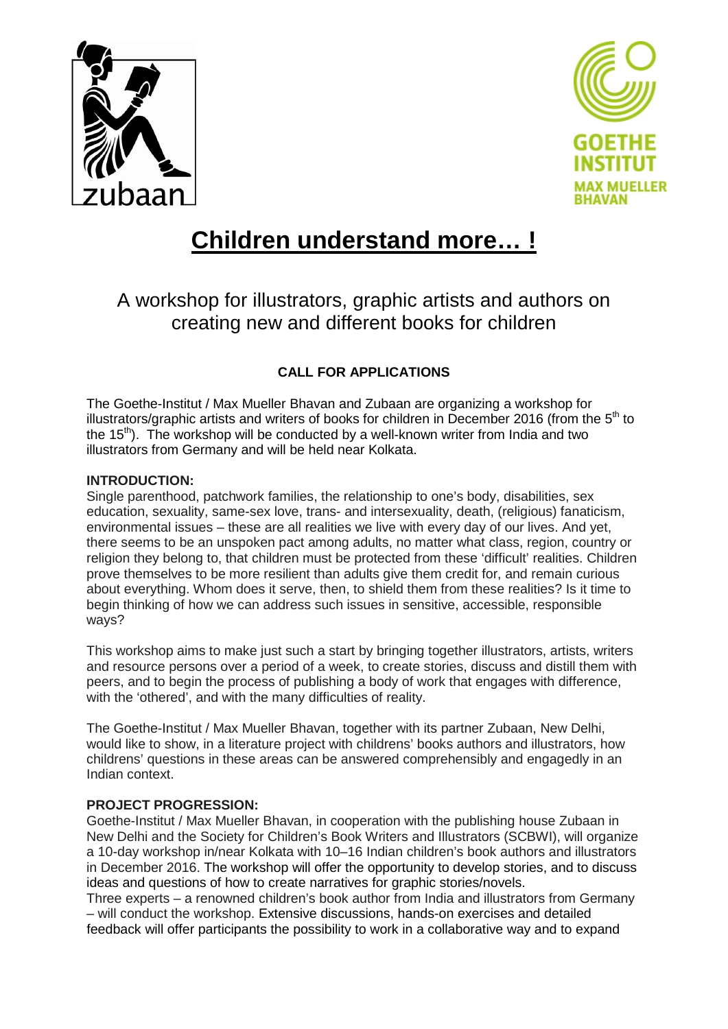



# **Children understand more… !**

A workshop for illustrators, graphic artists and authors on creating new and different books for children

# **CALL FOR APPLICATIONS**

The Goethe-Institut / Max Mueller Bhavan and Zubaan are organizing a workshop for illustrators/graphic artists and writers of books for children in December 2016 (from the  $5<sup>th</sup>$  to the 15<sup>th</sup>). The workshop will be conducted by a well-known writer from India and two illustrators from Germany and will be held near Kolkata.

### **INTRODUCTION:**

Single parenthood, patchwork families, the relationship to one's body, disabilities, sex education, sexuality, same-sex love, trans- and intersexuality, death, (religious) fanaticism, environmental issues – these are all realities we live with every day of our lives. And yet, there seems to be an unspoken pact among adults, no matter what class, region, country or religion they belong to, that children must be protected from these 'difficult' realities. Children prove themselves to be more resilient than adults give them credit for, and remain curious about everything. Whom does it serve, then, to shield them from these realities? Is it time to begin thinking of how we can address such issues in sensitive, accessible, responsible ways?

This workshop aims to make just such a start by bringing together illustrators, artists, writers and resource persons over a period of a week, to create stories, discuss and distill them with peers, and to begin the process of publishing a body of work that engages with difference, with the 'othered', and with the many difficulties of reality.

The Goethe-Institut / Max Mueller Bhavan, together with its partner Zubaan, New Delhi, would like to show, in a literature project with childrens' books authors and illustrators, how childrens' questions in these areas can be answered comprehensibly and engagedly in an Indian context.

## **PROJECT PROGRESSION:**

Goethe-Institut / Max Mueller Bhavan, in cooperation with the publishing house Zubaan in New Delhi and the Society for Children's Book Writers and Illustrators (SCBWI), will organize a 10-day workshop in/near Kolkata with 10–16 Indian children's book authors and illustrators in December 2016. The workshop will offer the opportunity to develop stories, and to discuss ideas and questions of how to create narratives for graphic stories/novels.

Three experts – a renowned children's book author from India and illustrators from Germany – will conduct the workshop. Extensive discussions, hands-on exercises and detailed feedback will offer participants the possibility to work in a collaborative way and to expand